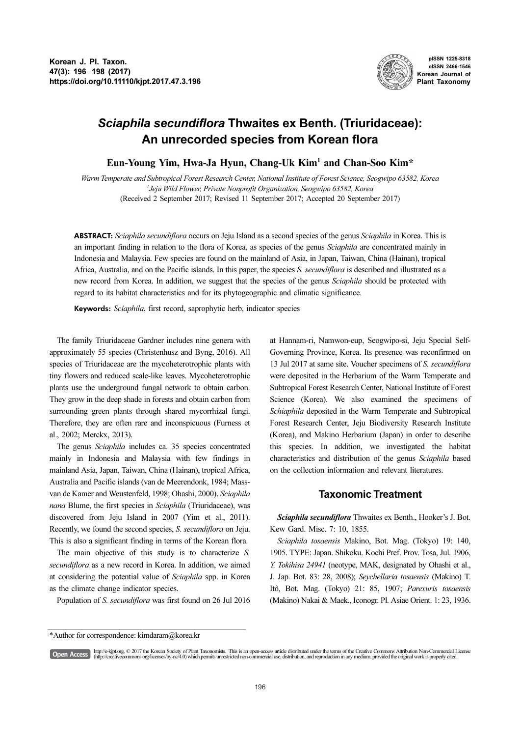

pISSN 1225-8318 eISSN 2466-1546 Korean Journal of Plant Taxonomy

# Sciaphila secundiflora Thwaites ex Benth. (Triuridaceae): An unrecorded species from Korean flora

Eun-Young Yim, Hwa-Ja Hyun, Chang-Uk Kim<sup>1</sup> and Chan-Soo Kim\*

Warm Temperate and Subtropical Forest Research Center, National Institute of Forest Science, Seogwipo 63582, Korea 1 Jeju Wild Flower, Private Nonprofit Organization, Seogwipo 63582, Korea (Received 2 September 2017; Revised 11 September 2017; Accepted 20 September 2017)

ABSTRACT: Sciaphila secundiflora occurs on Jeju Island as a second species of the genus Sciaphila in Korea. This is an important finding in relation to the flora of Korea, as species of the genus Sciaphila are concentrated mainly in Indonesia and Malaysia. Few species are found on the mainland of Asia, in Japan, Taiwan, China (Hainan), tropical Africa, Australia, and on the Pacific islands. In this paper, the species S. secundiflora is described and illustrated as a new record from Korea. In addition, we suggest that the species of the genus Sciaphila should be protected with regard to its habitat characteristics and for its phytogeographic and climatic significance.

Keywords: Sciaphila, first record, saprophytic herb, indicator species

The family Triuridaceae Gardner includes nine genera with approximately 55 species (Christenhusz and Byng, 2016). All species of Triuridaceae are the mycoheterotrophic plants with tiny flowers and reduced scale-like leaves. Mycoheterotrophic plants use the underground fungal network to obtain carbon. They grow in the deep shade in forests and obtain carbon from surrounding green plants through shared mycorrhizal fungi. Therefore, they are often rare and inconspicuous (Furness et al., 2002; Merckx, 2013).

The genus Sciaphila includes ca. 35 species concentrated mainly in Indonesia and Malaysia with few findings in mainland Asia, Japan, Taiwan, China (Hainan), tropical Africa, Australia and Pacific islands (van de Meerendonk, 1984; Massvan de Kamer and Weustenfeld, 1998; Ohashi, 2000). Sciaphila nana Blume, the first species in Sciaphila (Triuridaceae), was discovered from Jeju Island in 2007 (Yim et al., 2011). Recently, we found the second species, S. secundiflora on Jeju. This is also a significant finding in terms of the Korean flora.

The main objective of this study is to characterize S. secundiflora as a new record in Korea. In addition, we aimed at considering the potential value of Sciaphila spp. in Korea as the climate change indicator species.

Population of S. secundiflora was first found on 26 Jul 2016

at Hannam-ri, Namwon-eup, Seogwipo-si, Jeju Special Self-Governing Province, Korea. Its presence was reconfirmed on 13 Jul 2017 at same site. Voucher specimens of S. secundiflora were deposited in the Herbarium of the Warm Temperate and Subtropical Forest Research Center, National Institute of Forest Science (Korea). We also examined the specimens of Schiaphila deposited in the Warm Temperate and Subtropical Forest Research Center, Jeju Biodiversity Research Institute (Korea), and Makino Herbarium (Japan) in order to describe this species. In addition, we investigated the habitat characteristics and distribution of the genus Sciaphila based on the collection information and relevant literatures.

## Taxonomic Treatment

Sciaphila secundiflora Thwaites ex Benth., Hooker's J. Bot. Kew Gard. Misc. 7: 10, 1855.

Sciaphila tosaensis Makino, Bot. Mag. (Tokyo) 19: 140, 1905. TYPE: Japan. Shikoku. Kochi Pref. Prov. Tosa, Jul. 1906, Y. Tokihisa 24941 (neotype, MAK, designated by Ohashi et al., J. Jap. Bot. 83: 28, 2008); Seychellaria tosaensis (Makino) T. Itô, Bot. Mag. (Tokyo) 21: 85, 1907; Parexuris tosaensis (Makino) Nakai & Maek., Iconogr. Pl. Asiae Orient. 1: 23, 1936.

http://e-kjpt.org. © 2017 the Korean Society of Plant Taxonomists. This is an open-access article distributed under the terms of the Creative Commons Attribution Non-Commercial License<br>(http://creativecommons.org/licenses/ [Open Access]

<sup>\*</sup>Author for correspondence: kimdaram@korea.kr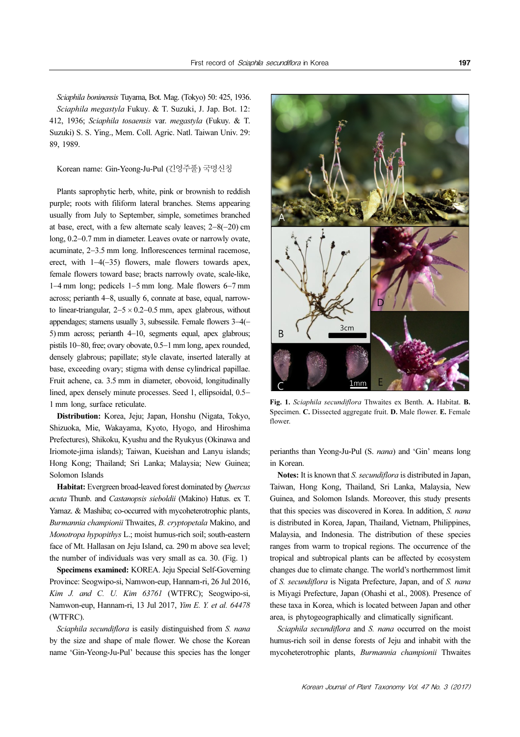Sciaphila boninensis Tuyama, Bot. Mag. (Tokyo) 50: 425, 1936. Sciaphila megastyla Fukuy. & T. Suzuki, J. Jap. Bot. 12: 412, 1936; Sciaphila tosaensis var. megastyla (Fukuy. & T. Suzuki) S. S. Ying., Mem. Coll. Agric. Natl. Taiwan Univ. 29: 89, 1989.

Korean name: Gin-Yeong-Ju-Pul (긴영주풀) 국명신칭

Plants saprophytic herb, white, pink or brownish to reddish purple; roots with filiform lateral branches. Stems appearing usually from July to September, simple, sometimes branched at base, erect, with a few alternate scaly leaves; 2−8(−20) cm long, 0.2−0.7 mm in diameter. Leaves ovate or narrowly ovate, acuminate, 2−3.5 mm long. Inflorescences terminal racemose, erect, with 1−4(−35) flowers, male flowers towards apex, female flowers toward base; bracts narrowly ovate, scale-like, 1−4 mm long; pedicels 1−5 mm long. Male flowers 6−7 mm across; perianth 4−8, usually 6, connate at base, equal, narrowto linear-triangular,  $2-5 \times 0.2-0.5$  mm, apex glabrous, without appendages; stamens usually 3, subsessile. Female flowers 3−4(− 5) mm across; perianth 4−10, segments equal, apex glabrous; pistils 10−80, free; ovary obovate, 0.5−1 mm long, apex rounded, densely glabrous; papillate; style clavate, inserted laterally at base, exceeding ovary; stigma with dense cylindrical papillae. Fruit achene, ca. 3.5 mm in diameter, obovoid, longitudinally lined, apex densely minute processes. Seed 1, ellipsoidal, 0.5− 1 mm long, surface reticulate.

Distribution: Korea, Jeju; Japan, Honshu (Nigata, Tokyo, Shizuoka, Mie, Wakayama, Kyoto, Hyogo, and Hiroshima Prefectures), Shikoku, Kyushu and the Ryukyus (Okinawa and Iriomote-jima islands); Taiwan, Kueishan and Lanyu islands; Hong Kong; Thailand; Sri Lanka; Malaysia; New Guinea; Solomon Islands

Habitat: Evergreen broad-leaved forest dominated by Quercus acuta Thunb. and Castanopsis sieboldii (Makino) Hatus. ex T. Yamaz. & Mashiba; co-occurred with mycoheterotrophic plants, Burmannia championii Thwaites, B. cryptopetala Makino, and Monotropa hypopithys L.; moist humus-rich soil; south-eastern face of Mt. Hallasan on Jeju Island, ca. 290 m above sea level; the number of individuals was very small as ca. 30. (Fig. 1)

Specimens examined: KOREA. Jeju Special Self-Governing Province: Seogwipo-si, Namwon-eup, Hannam-ri, 26 Jul 2016, Kim J. and C. U. Kim 63761 (WTFRC); Seogwipo-si, Namwon-eup, Hannam-ri, 13 Jul 2017, Yim E. Y. et al. 64478 (WTFRC).

Sciaphila secundiflora is easily distinguished from S. nana by the size and shape of male flower. We chose the Korean name 'Gin-Yeong-Ju-Pul' because this species has the longer



Fig. 1. Sciaphila secundiflora Thwaites ex Benth. A. Habitat. B. Specimen. C. Dissected aggregate fruit. D. Male flower. E. Female flower.

perianths than Yeong-Ju-Pul (S. nana) and 'Gin' means long in Korean.

Notes: It is known that S. secundiflora is distributed in Japan, Taiwan, Hong Kong, Thailand, Sri Lanka, Malaysia, New Guinea, and Solomon Islands. Moreover, this study presents that this species was discovered in Korea. In addition, S. nana is distributed in Korea, Japan, Thailand, Vietnam, Philippines, Malaysia, and Indonesia. The distribution of these species ranges from warm to tropical regions. The occurrence of the tropical and subtropical plants can be affected by ecosystem changes due to climate change. The world's northernmost limit of S. secundiflora is Nigata Prefecture, Japan, and of S. nana is Miyagi Prefecture, Japan (Ohashi et al., 2008). Presence of these taxa in Korea, which is located between Japan and other area, is phytogeographically and climatically significant.

Sciaphila secundiflora and S. nana occurred on the moist humus-rich soil in dense forests of Jeju and inhabit with the mycoheterotrophic plants, Burmannia championii Thwaites